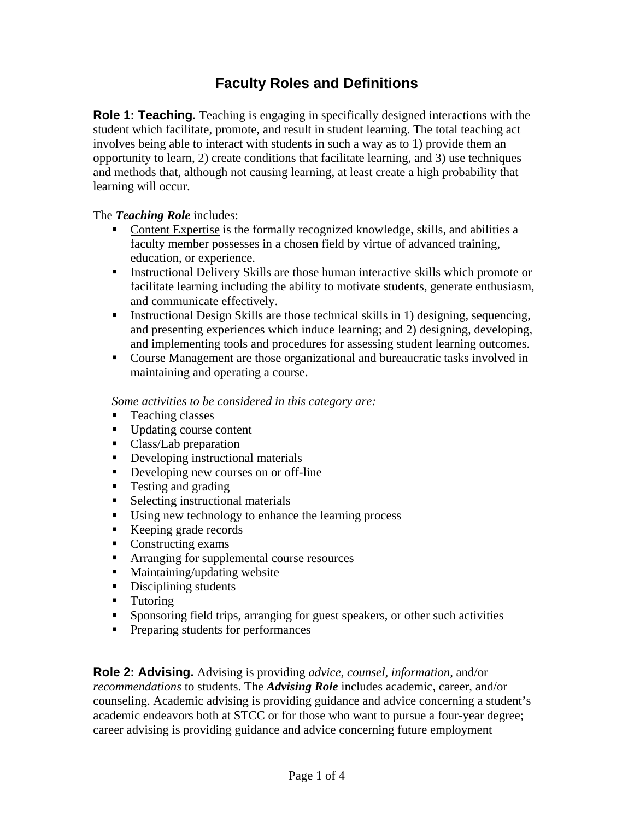## **Faculty Roles and Definitions**

**Role 1: Teaching.** Teaching is engaging in specifically designed interactions with the student which facilitate, promote, and result in student learning. The total teaching act involves being able to interact with students in such a way as to 1) provide them an opportunity to learn, 2) create conditions that facilitate learning, and 3) use techniques and methods that, although not causing learning, at least create a high probability that learning will occur.

## The *Teaching Role* includes:

- Content Expertise is the formally recognized knowledge, skills, and abilities a faculty member possesses in a chosen field by virtue of advanced training, education, or experience.
- Instructional Delivery Skills are those human interactive skills which promote or facilitate learning including the ability to motivate students, generate enthusiasm, and communicate effectively.
- Instructional Design Skills are those technical skills in 1) designing, sequencing, and presenting experiences which induce learning; and 2) designing, developing, and implementing tools and procedures for assessing student learning outcomes.
- Course Management are those organizational and bureaucratic tasks involved in maintaining and operating a course.

*Some activities to be considered in this category are:*

- **Teaching classes**
- Updating course content
- Class/Lab preparation
- Developing instructional materials
- Developing new courses on or off-line
- Testing and grading
- Selecting instructional materials
- Using new technology to enhance the learning process
- Keeping grade records
- Constructing exams
- **Arranging for supplemental course resources**
- Maintaining/updating website
- Disciplining students
- **Tutoring**
- Sponsoring field trips, arranging for guest speakers, or other such activities
- **Preparing students for performances**

**Role 2: Advising.** Advising is providing *advice, counsel, information,* and/or *recommendations* to students. The *Advising Role* includes academic, career, and/or counseling. Academic advising is providing guidance and advice concerning a student's academic endeavors both at STCC or for those who want to pursue a four-year degree; career advising is providing guidance and advice concerning future employment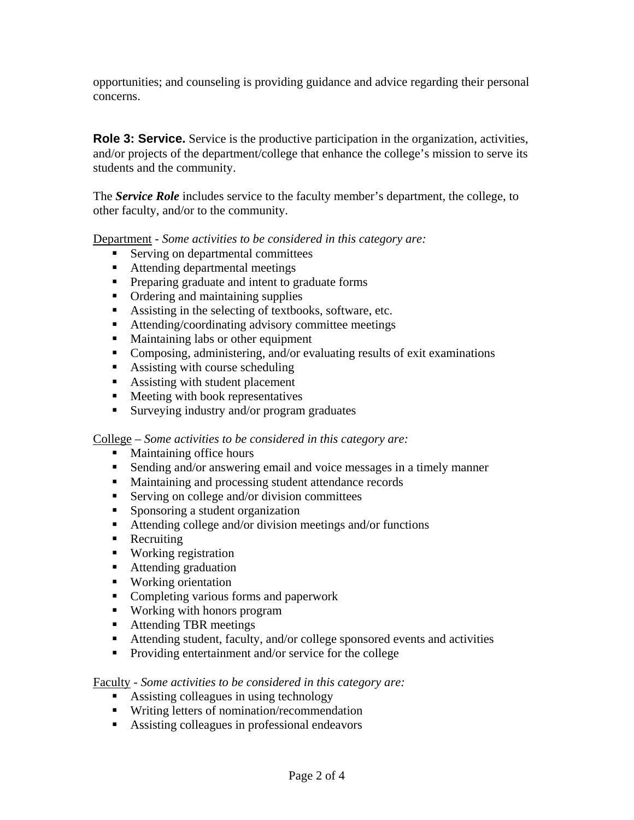opportunities; and counseling is providing guidance and advice regarding their personal concerns.

**Role 3: Service.** Service is the productive participation in the organization, activities, and/or projects of the department/college that enhance the college's mission to serve its students and the community.

The *Service Role* includes service to the faculty member's department, the college, to other faculty, and/or to the community.

Department - *Some activities to be considered in this category are:* 

- Serving on departmental committees
- Attending departmental meetings
- **Preparing graduate and intent to graduate forms**
- Ordering and maintaining supplies
- Assisting in the selecting of textbooks, software, etc.
- Attending/coordinating advisory committee meetings
- Maintaining labs or other equipment
- Composing, administering, and/or evaluating results of exit examinations
- Assisting with course scheduling
- Assisting with student placement
- **Meeting with book representatives**
- Surveying industry and/or program graduates

College – *Some activities to be considered in this category are:* 

- **Maintaining office hours**
- Sending and/or answering email and voice messages in a timely manner
- **Maintaining and processing student attendance records**
- Serving on college and/or division committees
- **Sponsoring a student organization**
- Attending college and/or division meetings and/or functions
- Recruiting
- Working registration
- Attending graduation
- Working orientation
- **Completing various forms and paperwork**
- Working with honors program
- Attending TBR meetings
- Attending student, faculty, and/or college sponsored events and activities
- **Providing entertainment and/or service for the college**

Faculty - *Some activities to be considered in this category are:*

- Assisting colleagues in using technology
- Writing letters of nomination/recommendation
- Assisting colleagues in professional endeavors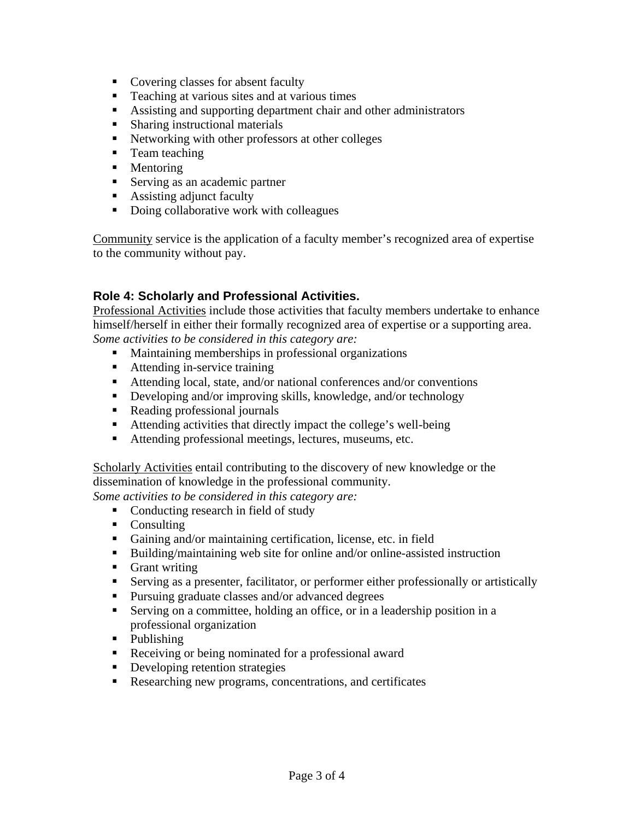- Covering classes for absent faculty
- Teaching at various sites and at various times
- Assisting and supporting department chair and other administrators
- **Sharing instructional materials**
- Networking with other professors at other colleges
- **Team teaching**
- Mentoring
- Serving as an academic partner
- **Assisting adjunct faculty**
- Doing collaborative work with colleagues

Community service is the application of a faculty member's recognized area of expertise to the community without pay.

## **Role 4: Scholarly and Professional Activities.**

Professional Activities include those activities that faculty members undertake to enhance himself/herself in either their formally recognized area of expertise or a supporting area. *Some activities to be considered in this category are:*

- Maintaining memberships in professional organizations
- Attending in-service training
- Attending local, state, and/or national conferences and/or conventions
- Developing and/or improving skills, knowledge, and/or technology
- Reading professional journals
- Attending activities that directly impact the college's well-being
- Attending professional meetings, lectures, museums, etc.

Scholarly Activities entail contributing to the discovery of new knowledge or the dissemination of knowledge in the professional community.

*Some activities to be considered in this category are:*

- Conducting research in field of study
- Consulting
- Gaining and/or maintaining certification, license, etc. in field
- Building/maintaining web site for online and/or online-assisted instruction
- **Grant writing**
- Serving as a presenter, facilitator, or performer either professionally or artistically
- **Pursuing graduate classes and/or advanced degrees**
- Serving on a committee, holding an office, or in a leadership position in a professional organization
- Publishing
- Receiving or being nominated for a professional award
- Developing retention strategies
- Researching new programs, concentrations, and certificates